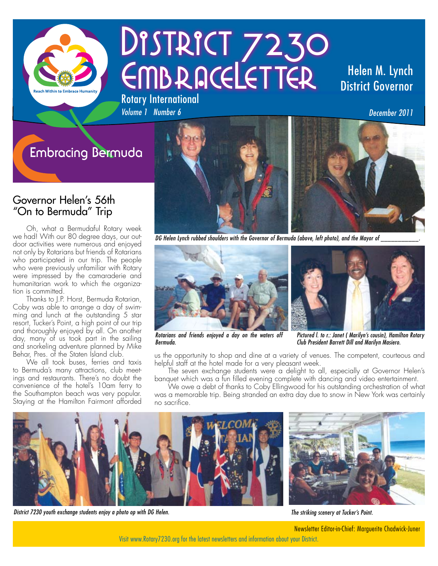

# DISTRICT 7230 EMBRACELETTER Rotary International

# Helen M. Lynch District Governor

*December 2011*

# **Embracing Bermuda**

*Volume 1 Number 6*

### Governor Helen's 56th "On to Bermuda" Trip

Oh, what a Bermudaful Rotary week we had! With our 80 degree days, our outdoor activities were numerous and enjoyed not only by Rotarians but friends of Rotarians who participated in our trip. The people who were previously unfamiliar with Rotary were impressed by the camaraderie and humanitarian work to which the organization is committed.

Thanks to J.P. Horst, Bermuda Rotarian, Coby was able to arrange a day of swimming and lunch at the outstanding 5 star resort, Tucker's Point, a high point of our trip and thoroughly enjoyed by all. On another day, many of us took part in the sailing and snorkeling adventure planned by Mike Behar, Pres. of the Staten Island club.

We all took buses, ferries and taxis to Bermuda's many attractions, club meetings and restaurants. There's no doubt the convenience of the hotel's 10am ferry to the Southampton beach was very popular. Staying at the Hamilton Fairmont afforded



*DG Helen Lynch rubbed shoulders with the Governor of Bermuda (above, left photo), and the Mayor of* 



*Rotarians and friends enjoyed a day on the waters off Bermuda.*

*Pictured l. to r.: Janet ( Marilyn's cousin), Hamilton Rotary Club President Barrett Dill and Marilyn Masiero.*

us the opportunity to shop and dine at a variety of venues. The competent, courteous and helpful staff at the hotel made for a very pleasant week.

The seven exchange students were a delight to all, especially at Governor Helen's banquet which was a fun filled evening complete with dancing and video entertainment.

We owe a debt of thanks to Coby Ellingwood for his outstanding orchestration of what was a memorable trip. Being stranded an extra day due to snow in New York was certainly no sacrifice.



*District 7230 youth exchange students enjoy a photo op with DG Helen.*

*The striking scenery at Tucker's Point.*

Newsletter Editor-in-Chief: Marguerite Chadwick-Juner

Visit www.Rotary7230.org for the latest newsletters and information about your District.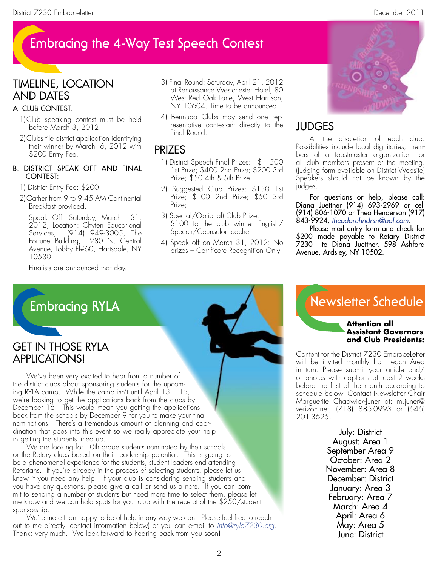# **Embracing the 4-Way Test Speech Contest**

### Timeline, location and Dates

#### a. Club Contest:

- 1)Club speaking contest must be held before March 3, 2012.
- 2)Clubs file district application identifying their winner by March 6, 2012 with \$200 Entry Fee.

#### b. District Speak Off and Final CONTEST:

#### 1) District Entry Fee: \$200.

2) Gather from 9 to 9:45 AM Continental Breakfast provided.

 Speak Off: Saturday, March 31, 2012, Location: Chyten Educational Services, (914) 949-3005, The Fortune Building, 280 N. Central Avenue, Lobby Fl#60, Hartsdale, NY 10530.

Finalists are announced that day.

- 3) Final Round: Saturday, April 21, 2012 at Renaissance Westchester Hotel, 80 West Red Oak Lane, West Harrison, NY 10604. Time to be announced.
- 4) Bermuda Clubs may send one representative contestant directly to the Final Round.

### prizes

- 1) District Speech Final Prizes: \$ 500 1st Prize; \$400 2nd Prize; \$200 3rd Prize; \$50 4th & 5th Prize.
- 2) Suggested Club Prizes: \$150 1st Prize; \$100 2nd Prize; \$50 3rd Prize;
- 3) Special/Optional) Club Prize: \$100 to the club winner English/ Speech/Counselor teacher
- 4) Speak off on March 31, 2012: No prizes – Certificate Recognition Only



## **JUDGES**

At the discretion of each club. Possibilities include local dignitaries, members of a toastmaster organization; or all club members present at the meeting. (Judging form available on District Website) Speakers should not be known by the judges.

For questions or help, please call: Diana Juettner (914) 693-2969 or cell (914) 806-1070 or Theo Henderson (917) 843-9924, *theodorehndrsn@aol.com*.

 Please mail entry form and check for \$200 made payable to Rotary District 7230 to Diana Juettner, 598 Ashford Avenue, Ardsley, NY 10502.

# **Embracing RYLA**

### Get in Those RYLA Applications!

We've been very excited to hear from a number of the district clubs about sponsoring students for the upcoming RYLA camp. While the camp isn't until April  $13 - 15$ , we're looking to get the applications back from the clubs by December 16. This would mean you getting the applications back from the schools by December 9 for you to make your final nominations. There's a tremendous amount of planning and coordination that goes into this event so we really appreciate your help in getting the students lined up.

We are looking for 10th grade students nominated by their schools or the Rotary clubs based on their leadership potential. This is going to be a phenomenal experience for the students, student leaders and attending Rotarians. If you're already in the process of selecting students, please let us know if you need any help. If your club is considering sending students and you have any questions, please give a call or send us a note. If you can commit to sending a number of students but need more time to select them, please let me know and we can hold spots for your club with the receipt of the \$250/student sponsorship.

We're more than happy to be of help in any way we can. Please feel free to reach out to me directly (contact information below) or you can e-mail to *info@ryla7230.org*. Thanks very much. We look forward to hearing back from you soon!

# **Newsletter Schedule**

#### **Attention all Assistant Governors and Club Presidents:**

Content for the District 7230 EmbraceLetter will be invited monthly from each Area in turn. Please submit your article and/ or photos with captions at least 2 weeks before the first of the month according to schedule below. Contact Newsletter Chair Marguerite Chadwick-Juner at: m.juner@ verizon.net, (718) 885-0993 or (646) 201-3625.

> July: District August: Area 1 September Area 9 October: Area 2 November: Area 8 December: District January: Area 3 February: Area 7 March: Area 4 April: Area 6 May: Area 5 June: District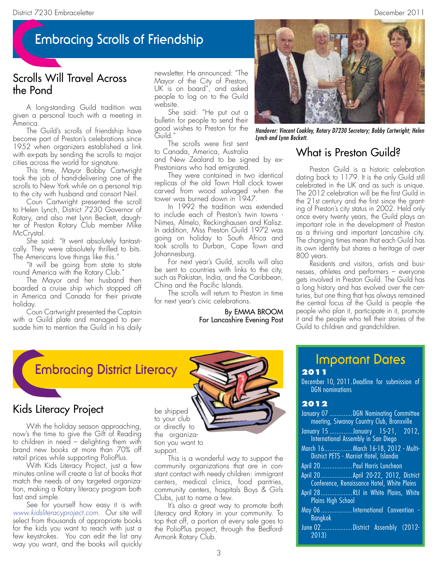# **Embracing Scrolls of Friendship**

### Scrolls Will Travel Across the Pond

A long-standing Guild tradition was given a personal touch with a meeting in America.

The Guild's scrolls of friendship have become part of Preston's celebrations since 1952 when organizers established a link with ex-pats by sending the scrolls to major cities across the world for signature.

This time, Mayor Bobby Cartwright took the job of hand-delivering one of the scrolls to New York while on a personal trip to the city with husband and consort Neil.

Coun Cartwright presented the scroll to Helen Lynch, District 7230 Governor of Rotary, and also met Lynn Beckett, daughter of Preston Rotary Club member Mike McCrystal.

She said: "It went absolutely fantastically. They were absolutely thrilled to bits. The Americans love things like this."

"It will be going from state to state round America with the Rotary Club."

The Mayor and her husband then boarded a cruise ship which stopped off in America and Canada for their private holiday.

Coun Cartwright presented the Captain with a Guild plate and managed to persuade him to mention the Guild in his daily newsletter. He announced: "The Mayor of the City of Preston, UK is on board", and asked people to log on to the Guild website.

She said: "He put out a bulletin for people to send their good wishes to Preston for the Guild."

The scrolls were first sent to Canada, America, Australia and New Zealand to be signed by ex-Prestonians who had emigrated.

They were contained in two identical replicas of the old Town Hall clock tower carved from wood salvaged when the tower was burned down in 1947.

In 1992 the tradition was extended to include each of Preston's twin towns - Nimes, Almelo, Reckinghausen and Kalisz. In addition, Miss Preston Guild 1972 was going on holiday to South Africa and took scrolls to Durban, Cape Town and Johannesburg.

For next year's Guild, scrolls will also be sent to countries with links to the city, such as Pakistan, India, and the Caribbean, China and the Pacific Islands.

The scrolls will return to Preston in time for next year's civic celebrations.

#### By EMMA BROOM For Lancashire Evening Post



*Handover: Vincent Coakley, Rotary D7230 Secretary; Bobby Cartwright; Helen Lynch and Lynn Beckett.*

### What is Preston Guild?

Preston Guild is a historic celebration dating back to 1179. It is the only Guild still celebrated in the UK and as such is unique. The 2012 celebration will be the first Guild in the 21st century and the first since the granting of Preston's city status in 2002. Held only once every twenty years, the Guild plays an important role in the development of Preston as a thriving and important Lancashire city. The changing times mean that each Guild has its own identity but shares a heritage of over 800 years.

Residents and visitors, artists and businesses, athletes and performers – everyone gets involved in Preston Guild. The Guild has a long history and has evolved over the centuries, but one thing that has always remained the central focus of the Guild is people -the people who plan it, participate in it, promote it and the people who tell their stories of the Guild to children and grandchildren.



### Kids Literacy Project

With the holiday season approaching, now's the time to give the Gift of Reading to children in need – delighting them with brand new books at more than 70% off retail prices while supporting PolioPlus.

With Kids Literacy Project, just a few minutes online will create a list of books that match the needs of any targeted organization, making a Rotary literacy program both fast and simple.

See for yourself how easy it is with *www.kidsliteracyproject.com*. Our site will select from thousands of appropriate books for the kids you want to reach with just a few keystrokes. You can edit the list any way you want, and the books will quickly

be shipped to your club or directly to the organization you want to support.

This is a wonderful way to support the community organizations that are in constant contact with needy children: immigrant centers, medical clinics, food pantries, community centers, hospitals Boys & Girls Clubs, just to name a few.

It's also a great way to promote both Literacy and Rotary in your community. To top that off, a portion of every sale goes to the PolioPlus project, through the Bedford-Armonk Rotary Club.

### **Important Dates 2011**

December 10, 2011.Deadline for submission of DGN nominations

#### **2012**

| January 07 DGN Nominating Committee                                                 |
|-------------------------------------------------------------------------------------|
| meeting, Siwanoy Country Club, Bronxville                                           |
| January 15 January 15-21, 2012,<br>International Assembly in San Diego              |
| March 16 March 16-18, 2012 - Multi-<br>District PETS - Marriot Hotel, Islandia      |
| April 20 Paul Harris Luncheon                                                       |
| April 20 April 20-22, 2012, District<br>Conference, Renaissance Hotel, White Plains |
| April 28RLI in White Plains, White<br><b>Plains High School</b>                     |
| May 06International Convention -<br><b>Bangkok</b>                                  |
| June 02District Assembly (2012-<br>2013                                             |

3